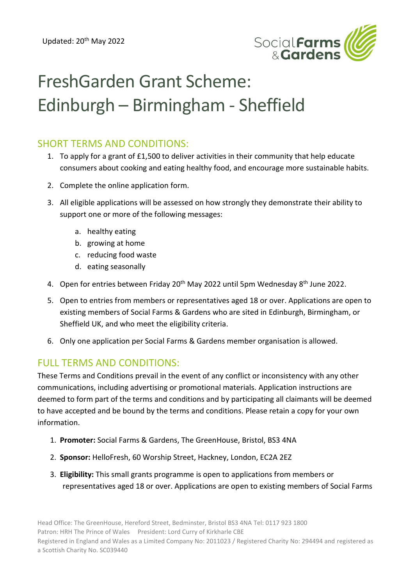

## FreshGarden Grant Scheme: Edinburgh – Birmingham - Sheffield

## SHORT TERMS AND CONDITIONS:

- 1. To apply for a grant of £1,500 to deliver activities in their community that help educate consumers about cooking and eating healthy food, and encourage more sustainable habits.
- 2. Complete the online application form.
- 3. All eligible applications will be assessed on how strongly they demonstrate their ability to support one or more of the following messages:
	- a. healthy eating
	- b. growing at home
	- c. reducing food waste
	- d. eating seasonally
- 4. Open for entries between Friday 20<sup>th</sup> May 2022 until 5pm Wednesday 8<sup>th</sup> June 2022.
- 5. Open to entries from members or representatives aged 18 or over. Applications are open to existing members of Social Farms & Gardens who are sited in Edinburgh, Birmingham, or Sheffield UK, and who meet the eligibility criteria.
- 6. Only one application per Social Farms & Gardens member organisation is allowed.

## FULL TERMS AND CONDITIONS:

These Terms and Conditions prevail in the event of any conflict or inconsistency with any other communications, including advertising or promotional materials. Application instructions are deemed to form part of the terms and conditions and by participating all claimants will be deemed to have accepted and be bound by the terms and conditions. Please retain a copy for your own information.

- 1. **Promoter:** Social Farms & Gardens, The GreenHouse, Bristol, BS3 4NA
- 2. **Sponsor:** HelloFresh, 60 Worship Street, Hackney, London, EC2A 2EZ
- 3. **Eligibility:** This small grants programme is open to applications from members or representatives aged 18 or over. Applications are open to existing members of Social Farms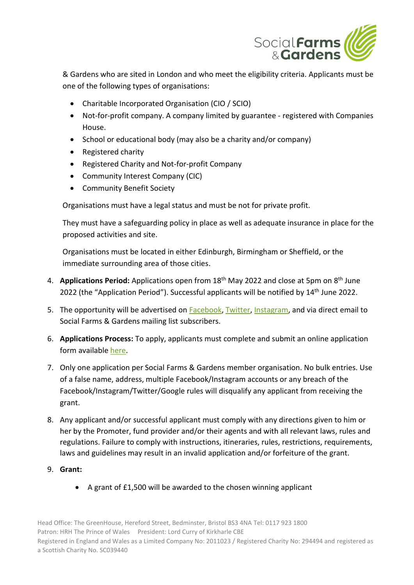

& Gardens who are sited in London and who meet the eligibility criteria. Applicants must be one of the following types of organisations:

- Charitable Incorporated Organisation (CIO / SCIO)
- Not-for-profit company. A company limited by guarantee registered with Companies House.
- School or educational body (may also be a charity and/or company)
- Registered charity
- Registered Charity and Not-for-profit Company
- Community Interest Company (CIC)
- Community Benefit Society

Organisations must have a legal status and must be not for private profit.

They must have a safeguarding policy in place as well as adequate insurance in place for the proposed activities and site.

Organisations must be located in either Edinburgh, Birmingham or Sheffield, or the immediate surrounding area of those cities.

- 4. **Applications Period:** Applications open from 18<sup>th</sup> May 2022 and close at 5pm on 8<sup>th</sup> June 2022 (the "Application Period"). Successful applicants will be notified by 14<sup>th</sup> June 2022.
- 5. The opportunity will be advertised on [Facebook,](https://www.facebook.com/farmgarden.UK) [Twitter,](https://twitter.com/SFarms_Gardens?s=20) [Instagram,](https://www.instagram.com/socialfarmsandgardens/) and via direct email to Social Farms & Gardens mailing list subscribers.
- 6. **Applications Process:** To apply, applicants must complete and submit an online application form available [here.](https://www.farmgarden.org.uk/join-us/competitions-and-opportunities-our-membership)
- 7. Only one application per Social Farms & Gardens member organisation. No bulk entries. Use of a false name, address, multiple Facebook/Instagram accounts or any breach of the Facebook/Instagram/Twitter/Google rules will disqualify any applicant from receiving the grant.
- 8. Any applicant and/or successful applicant must comply with any directions given to him or her by the Promoter, fund provider and/or their agents and with all relevant laws, rules and regulations. Failure to comply with instructions, itineraries, rules, restrictions, requirements, laws and guidelines may result in an invalid application and/or forfeiture of the grant.
- 9. **Grant:**
	- A grant of £1,500 will be awarded to the chosen winning applicant

Head Office: The GreenHouse, Hereford Street, Bedminster, Bristol BS3 4NA Tel: 0117 923 1800 Patron: HRH The Prince of Wales President: Lord Curry of Kirkharle CBE Registered in England and Wales as a Limited Company No: 2011023 / Registered Charity No: 294494 and registered as a Scottish Charity No. SC039440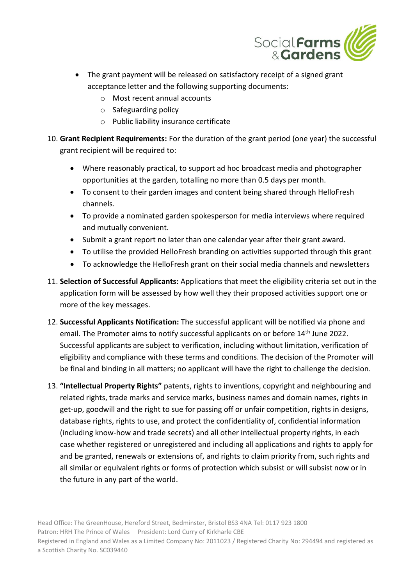

- The grant payment will be released on satisfactory receipt of a signed grant acceptance letter and the following supporting documents:
	- o Most recent annual accounts
	- o Safeguarding policy
	- o Public liability insurance certificate
- 10. **Grant Recipient Requirements:** For the duration of the grant period (one year) the successful grant recipient will be required to:
	- Where reasonably practical, to support ad hoc broadcast media and photographer opportunities at the garden, totalling no more than 0.5 days per month.
	- To consent to their garden images and content being shared through HelloFresh channels.
	- To provide a nominated garden spokesperson for media interviews where required and mutually convenient.
	- Submit a grant report no later than one calendar year after their grant award.
	- To utilise the provided HelloFresh branding on activities supported through this grant
	- To acknowledge the HelloFresh grant on their social media channels and newsletters
- 11. **Selection of Successful Applicants:** Applications that meet the eligibility criteria set out in the application form will be assessed by how well they their proposed activities support one or more of the key messages.
- 12. **Successful Applicants Notification:** The successful applicant will be notified via phone and email. The Promoter aims to notify successful applicants on or before 14<sup>th</sup> June 2022. Successful applicants are subject to verification, including without limitation, verification of eligibility and compliance with these terms and conditions. The decision of the Promoter will be final and binding in all matters; no applicant will have the right to challenge the decision.
- 13. **"Intellectual Property Rights"** patents, rights to inventions, copyright and neighbouring and related rights, trade marks and service marks, business names and domain names, rights in get-up, goodwill and the right to sue for passing off or unfair competition, rights in designs, database rights, rights to use, and protect the confidentiality of, confidential information (including know-how and trade secrets) and all other intellectual property rights, in each case whether registered or unregistered and including all applications and rights to apply for and be granted, renewals or extensions of, and rights to claim priority from, such rights and all similar or equivalent rights or forms of protection which subsist or will subsist now or in the future in any part of the world.